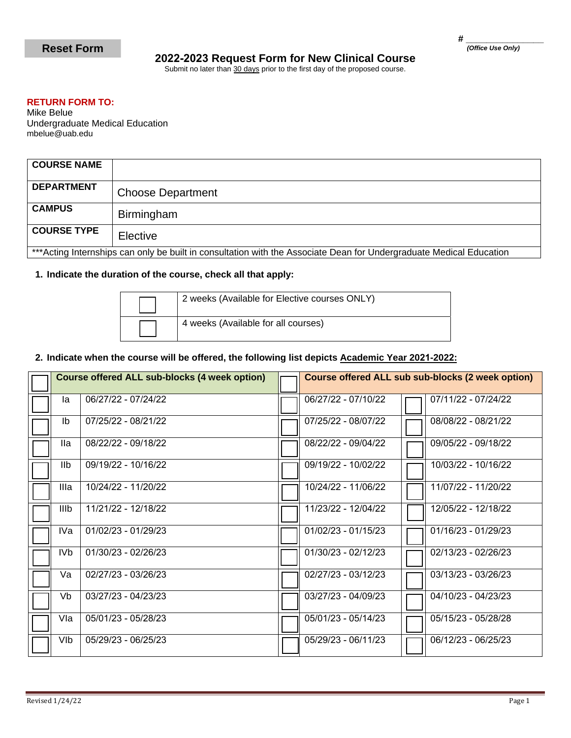# **2022-2023 Request Form for New Clinical Course**

Submit no later than 30 days prior to the first day of the proposed course.

### **RETURN FORM TO:**

Mike Belue Undergraduate Medical Education mbelue@uab.edu

| <b>COURSE NAME</b>                                                                                                   |                          |  |  |  |
|----------------------------------------------------------------------------------------------------------------------|--------------------------|--|--|--|
| <b>DEPARTMENT</b>                                                                                                    | <b>Choose Department</b> |  |  |  |
| <b>CAMPUS</b>                                                                                                        | <b>Birmingham</b>        |  |  |  |
| <b>COURSE TYPE</b>                                                                                                   | Elective                 |  |  |  |
| *** Acting Internships can only be built in consultation with the Associate Dean for Undergraduate Medical Education |                          |  |  |  |

## **1. Indicate the duration of the course, check all that apply:**

| 2 weeks (Available for Elective courses ONLY) |
|-----------------------------------------------|
| 4 weeks (Available for all courses)           |

#### **2. Indicate when the course will be offered, the following list depicts Academic Year 2021-2022:**

| <b>Course offered ALL sub-blocks (4 week option)</b> |                     | Course offered ALL sub sub-blocks (2 week option) |                     |
|------------------------------------------------------|---------------------|---------------------------------------------------|---------------------|
| la                                                   | 06/27/22 - 07/24/22 | 06/27/22 - 07/10/22                               | 07/11/22 - 07/24/22 |
| Ib                                                   | 07/25/22 - 08/21/22 | 07/25/22 - 08/07/22                               | 08/08/22 - 08/21/22 |
| lla                                                  | 08/22/22 - 09/18/22 | 08/22/22 - 09/04/22                               | 09/05/22 - 09/18/22 |
| IIb                                                  | 09/19/22 - 10/16/22 | 09/19/22 - 10/02/22                               | 10/03/22 - 10/16/22 |
| Illa                                                 | 10/24/22 - 11/20/22 | 10/24/22 - 11/06/22                               | 11/07/22 - 11/20/22 |
| IIIb                                                 | 11/21/22 - 12/18/22 | 11/23/22 - 12/04/22                               | 12/05/22 - 12/18/22 |
| IVa                                                  | 01/02/23 - 01/29/23 | 01/02/23 - 01/15/23                               | 01/16/23 - 01/29/23 |
| IVb.                                                 | 01/30/23 - 02/26/23 | 01/30/23 - 02/12/23                               | 02/13/23 - 02/26/23 |
| Va                                                   | 02/27/23 - 03/26/23 | $02/27/23 - 03/12/23$                             | 03/13/23 - 03/26/23 |
| Vb                                                   | 03/27/23 - 04/23/23 | 03/27/23 - 04/09/23                               | 04/10/23 - 04/23/23 |
| Vla                                                  | 05/01/23 - 05/28/23 | 05/01/23 - 05/14/23                               | 05/15/23 - 05/28/28 |
| VIb                                                  | 05/29/23 - 06/25/23 | 05/29/23 - 06/11/23                               | 06/12/23 - 06/25/23 |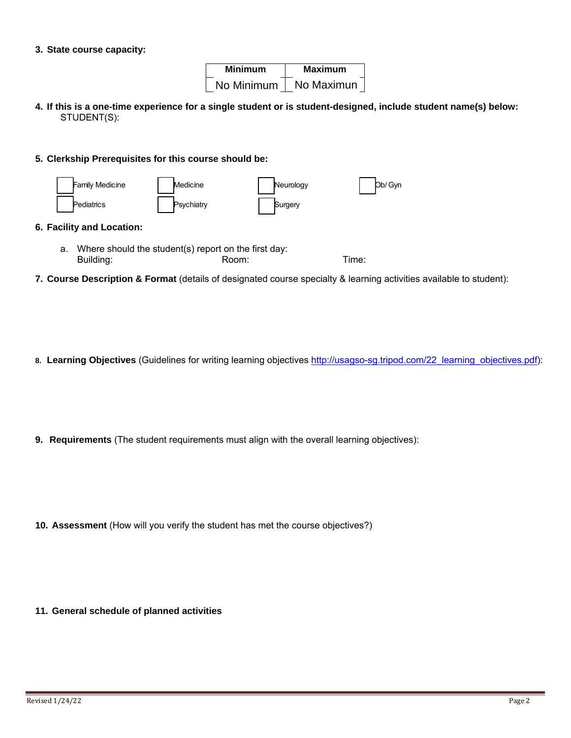#### **3. State course capacity:**

| <b>Minimum</b> | <b>Maximum</b> |  |
|----------------|----------------|--|
| No Minimum     | No Maximun     |  |

**4. If this is a one-time experience for a single student or is student-designed, include student name(s) below:** STUDENT(S):

#### **5. Clerkship Prerequisites for this course should be:**



#### **6. Facility and Location:**

- a. Where should the student(s) report on the first day: Building: Room: Room: Time:
- **7. Course Description & Format** (details of designated course specialty & learning activities available to student):
- 8. Learning Objectives (Guidelines for writing learning objectives [http://usagso-sg.tripod.com/22\\_learning\\_objectives.pdf](http://usagso-sg.tripod.com/22_learning_objectives.pdf)):
- **9. Requirements** (The student requirements must align with the overall learning objectives):

**10. Assessment** (How will you verify the student has met the course objectives?)

**11. General schedule of planned activities**